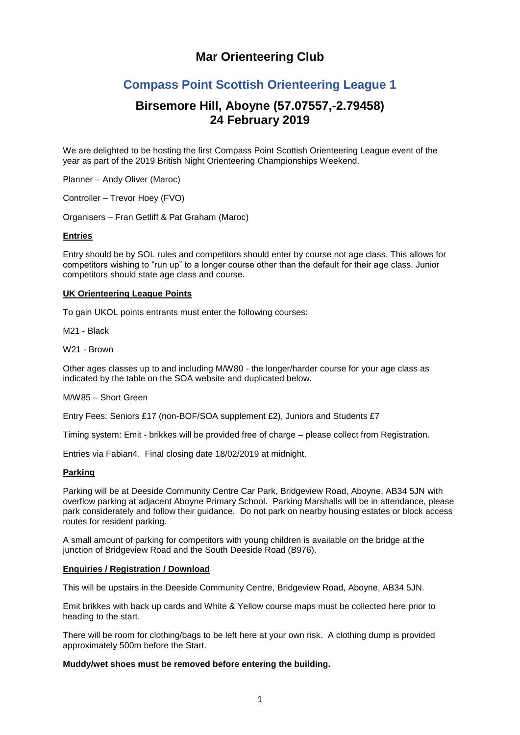# **Mar Orienteering Club**

# **Compass Point Scottish Orienteering League 1**

# **Birsemore Hill, Aboyne (57.07557,-2.79458) 24 February 2019**

We are delighted to be hosting the first Compass Point Scottish Orienteering League event of the year as part of the 2019 British Night Orienteering Championships Weekend.

Planner – Andy Oliver (Maroc)

Controller – Trevor Hoey (FVO)

Organisers – Fran Getliff & Pat Graham (Maroc)

# **Entries**

Entry should be by SOL [rules a](https://www.scottish-orienteering.org/sol/sol-competition-rules-and-guidelines)nd competitors should enter by course not age class. This allows for competitors wishing to "run up" to a longer course other than the default for their age class. Junior competitors should state age class and course.

### **UK Orienteering League Points**

To gain UKOL points entrants must enter the following courses:

M21 - Black

W21 - Brown

Other ages classes up to and including M/W80 - the longer/harder course for your age class as indicated by the table on the [SOA website a](https://www.scottish-orienteering.org/sol/sol-competition-rules-and-guidelines)nd duplicated below.

#### M/W85 – Short Green

Entry Fees: Seniors £17 (non-BOF/SOA supplement £2), Juniors and Students £7

Timing system: Emit - brikkes will be provided free of charge – please collect from Registration.

Entries via Fabian4. Final closing date 18/02/2019 at midnight.

#### **Parking**

Parking will be at Deeside Community Centre Car Park, Bridgeview Road, Aboyne, AB34 5JN with overflow parking at adjacent Aboyne Primary School. Parking Marshalls will be in attendance, please park considerately and follow their guidance. Do not park on nearby housing estates or block access routes for resident parking.

A small amount of parking for competitors with young children is available on the bridge at the junction of Bridgeview Road and the South Deeside Road (B976).

#### **Enquiries / Registration / Download**

This will be upstairs in the Deeside Community Centre, Bridgeview Road, Aboyne, AB34 5JN.

Emit brikkes with back up cards and White & Yellow course maps must be collected here prior to heading to the start.

There will be room for clothing/bags to be left here at your own risk. A clothing dump is provided approximately 500m before the Start.

**Muddy/wet shoes must be removed before entering the building.**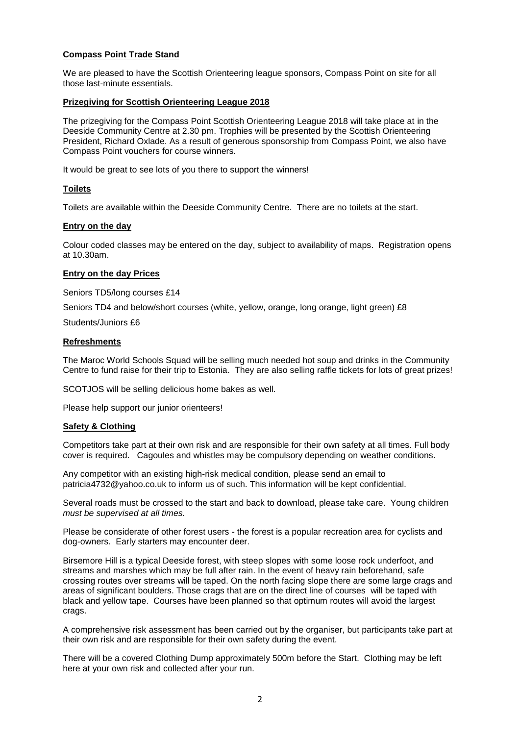### **Compass Point Trade Stand**

We are pleased to have the Scottish Orienteering league sponsors, Compass Point on site for all those last-minute essentials.

#### **Prizegiving for Scottish Orienteering League 2018**

The prizegiving for the Compass Point Scottish Orienteering League 2018 will take place at in the Deeside Community Centre at 2.30 pm. Trophies will be presented by the Scottish Orienteering President, Richard Oxlade. As a result of generous sponsorship from Compass Point, we also have Compass Point vouchers for course winners.

It would be great to see lots of you there to support the winners!

#### **Toilets**

Toilets are available within the Deeside Community Centre. There are no toilets at the start.

#### **Entry on the day**

Colour coded classes may be entered on the day, subject to availability of maps. Registration opens at 10.30am.

#### **Entry on the day Prices**

Seniors TD5/long courses £14

Seniors TD4 and below/short courses (white, yellow, orange, long orange, light green) £8

Students/Juniors £6

### **Refreshments**

The Maroc World Schools Squad will be selling much needed hot soup and drinks in the Community Centre to fund raise for their trip to Estonia. They are also selling raffle tickets for lots of great prizes!

SCOTJOS will be selling delicious home bakes as well.

Please help support our junior orienteers!

#### **Safety & Clothing**

Competitors take part at their own risk and are responsible for their own safety at all times. Full body cover is required. Cagoules and whistles may be compulsory depending on weather conditions.

Any competitor with an existing high-risk medical condition, please send an email to patricia4732@yahoo.co.uk to inform us of such. This information will be kept confidential.

Several roads must be crossed to the start and back to download, please take care. Young children *must be supervised at all times.* 

Please be considerate of other forest users - the forest is a popular recreation area for cyclists and dog-owners. Early starters may encounter deer.

Birsemore Hill is a typical Deeside forest, with steep slopes with some loose rock underfoot, and streams and marshes which may be full after rain. In the event of heavy rain beforehand, safe crossing routes over streams will be taped. On the north facing slope there are some large crags and areas of significant boulders. Those crags that are on the direct line of courses will be taped with black and yellow tape. Courses have been planned so that optimum routes will avoid the largest crags.

A comprehensive risk assessment has been carried out by the organiser, but participants take part at their own risk and are responsible for their own safety during the event.

There will be a covered Clothing Dump approximately 500m before the Start. Clothing may be left here at your own risk and collected after your run.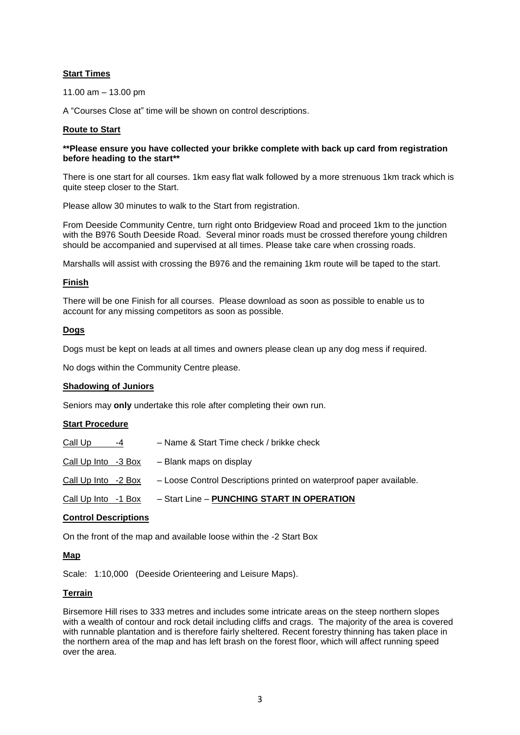### **Start Times**

11.00 am – 13.00 pm

A "Courses Close at" time will be shown on control descriptions.

# **Route to Start**

### **\*\*Please ensure you have collected your brikke complete with back up card from registration before heading to the start\*\***

There is one start for all courses. 1km easy flat walk followed by a more strenuous 1km track which is quite steep closer to the Start.

Please allow 30 minutes to walk to the Start from registration.

From Deeside Community Centre, turn right onto Bridgeview Road and proceed 1km to the junction with the B976 South Deeside Road. Several minor roads must be crossed therefore young children should be accompanied and supervised at all times. Please take care when crossing roads.

Marshalls will assist with crossing the B976 and the remaining 1km route will be taped to the start.

### **Finish**

There will be one Finish for all courses. Please download as soon as possible to enable us to account for any missing competitors as soon as possible.

# **Dogs**

Dogs must be kept on leads at all times and owners please clean up any dog mess if required.

No dogs within the Community Centre please.

# **Shadowing of Juniors**

Seniors may **only** undertake this role after completing their own run.

# **Start Procedure**

| Call Up             | $-4$ | - Name & Start Time check / brikke check                            |
|---------------------|------|---------------------------------------------------------------------|
| Call Up Into -3 Box |      | - Blank maps on display                                             |
| Call Up Into -2 Box |      | - Loose Control Descriptions printed on waterproof paper available. |
| Call Up Into -1 Box |      | - Start Line - PUNCHING START IN OPERATION                          |
|                     |      |                                                                     |

### **Control Descriptions**

On the front of the map and available loose within the -2 Start Box

# **Map**

Scale: 1:10,000 (Deeside Orienteering and Leisure Maps).

# **Terrain**

Birsemore Hill rises to 333 metres and includes some intricate areas on the steep northern slopes with a wealth of contour and rock detail including cliffs and crags. The majority of the area is covered with runnable plantation and is therefore fairly sheltered. Recent forestry thinning has taken place in the northern area of the map and has left brash on the forest floor, which will affect running speed over the area.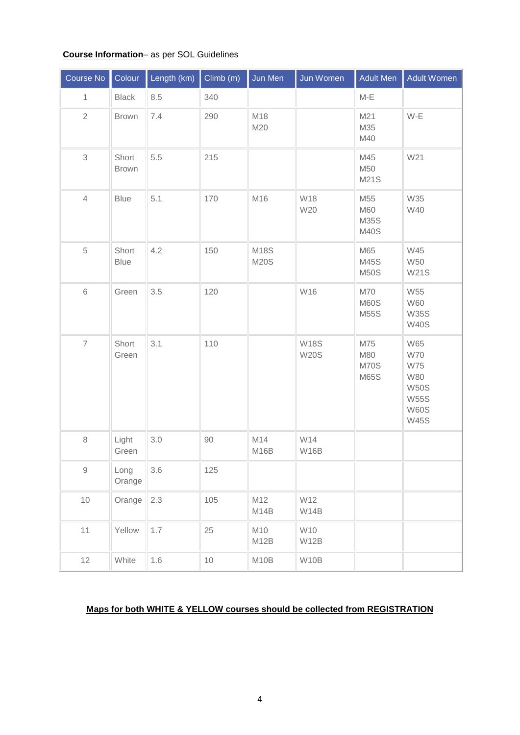# **Course Information**– as per SOL Guidelines

| Course No      | Colour                | Length (km) | Climb(m) | Jun Men                    | Jun Women                  | Adult Men                                       | <b>Adult Women</b>                                                                                               |
|----------------|-----------------------|-------------|----------|----------------------------|----------------------------|-------------------------------------------------|------------------------------------------------------------------------------------------------------------------|
| $\mathbf{1}$   | <b>Black</b>          | 8.5         | 340      |                            |                            | $M-E$                                           |                                                                                                                  |
| $\sqrt{2}$     | <b>Brown</b>          | 7.4         | 290      | M18<br>M20                 |                            | M21<br>M35<br>M40                               | $W-E$                                                                                                            |
| 3              | Short<br><b>Brown</b> | 5.5         | 215      |                            |                            | M45<br>M50<br><b>M21S</b>                       | W21                                                                                                              |
| $\overline{4}$ | <b>Blue</b>           | 5.1         | 170      | M16                        | W18<br>W20                 | M55<br>M60<br>M35S<br><b>M40S</b>               | <b>W35</b><br>W40                                                                                                |
| 5              | Short<br><b>Blue</b>  | 4.2         | 150      | <b>M18S</b><br><b>M20S</b> |                            | M65<br>M45S<br><b>M50S</b>                      | W45<br><b>W50</b><br><b>W21S</b>                                                                                 |
| $\,$ 6 $\,$    | Green                 | 3.5         | 120      |                            | W16                        | M70<br><b>M60S</b><br><b>M55S</b>               | <b>W55</b><br><b>W60</b><br><b>W35S</b><br><b>W40S</b>                                                           |
| $\overline{7}$ | Short<br>Green        | 3.1         | 110      |                            | <b>W18S</b><br><b>W20S</b> | M75<br><b>M80</b><br><b>M70S</b><br><b>M65S</b> | <b>W65</b><br><b>W70</b><br><b>W75</b><br><b>W80</b><br><b>W50S</b><br><b>W55S</b><br><b>W60S</b><br><b>W45S</b> |
| $\,8\,$        | Light<br>Green        | 3.0         | $90\,$   | M14<br>M16B                | W14<br>W16B                |                                                 |                                                                                                                  |
| $\hbox{9}$     | Long<br>Orange        | 3.6         | 125      |                            |                            |                                                 |                                                                                                                  |
| 10             | Orange                | 2.3         | 105      | M12<br>M <sub>14</sub> B   | W12<br><b>W14B</b>         |                                                 |                                                                                                                  |
| 11             | Yellow                | 1.7         | 25       | M10<br>M <sub>12</sub> B   | W10<br>W12B                |                                                 |                                                                                                                  |
| 12             | White                 | 1.6         | $10$     | M <sub>10</sub> B          | W10B                       |                                                 |                                                                                                                  |

# **Maps for both WHITE & YELLOW courses should be collected from REGISTRATION**